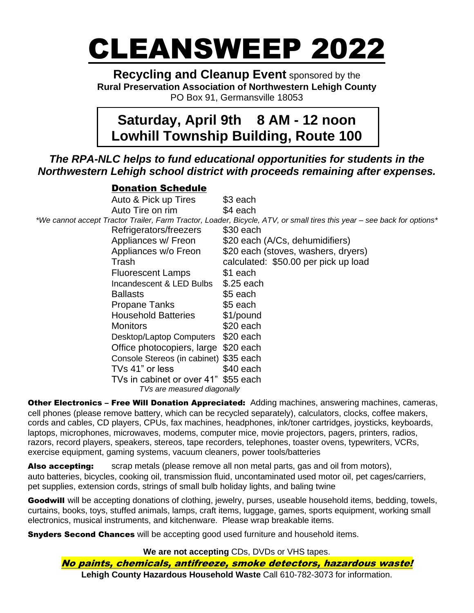# CLEANSWEEP 2022

**Recycling and Cleanup Event** sponsored by the **Rural Preservation Association of Northwestern Lehigh County** PO Box 91, Germansville 18053

## **Saturday, April 9th 8 AM - 12 noon Lowhill Township Building, Route 100**

### *The RPA-NLC helps to fund educational opportunities for students in the Northwestern Lehigh school district with proceeds remaining after expenses.*

#### Donation Schedule

Auto & Pick up Tires \$3 each Auto Tire on rim \$4 each *\*We cannot accept Tractor Trailer, Farm Tractor, Loader, Bicycle, ATV, or small tires this year – see back for options\** Refrigerators/freezers \$30 each Appliances w/ Freon \$20 each (A/Cs, dehumidifiers) Appliances w/o Freon \$20 each (stoves, washers, dryers) Trash calculated: \$50.00 per pick up load Fluorescent Lamps \$1 each Incandescent & LED Bulbs \$.25 each Ballasts **\$5 each** Propane Tanks \$5 each Household Batteries \$1/pound Monitors **\$20 each** Desktop/Laptop Computers \$20 each Office photocopiers, large \$20 each Console Stereos (in cabinet) \$35 each TVs 41" or less \$40 each TVs in cabinet or over 41" \$55 each *TVs are measured diagonally*

**Other Electronics - Free Will Donation Appreciated:** Adding machines, answering machines, cameras, cell phones (please remove battery, which can be recycled separately), calculators, clocks, coffee makers, cords and cables, CD players, CPUs, fax machines, headphones, ink/toner cartridges, joysticks, keyboards, laptops, microphones, microwaves, modems, computer mice, movie projectors, pagers, printers, radios, razors, record players, speakers, stereos, tape recorders, telephones, toaster ovens, typewriters, VCRs, exercise equipment, gaming systems, vacuum cleaners, power tools/batteries

Also accepting: scrap metals (please remove all non metal parts, gas and oil from motors), auto batteries, bicycles, cooking oil, transmission fluid, uncontaminated used motor oil, pet cages/carriers, pet supplies, extension cords, strings of small bulb holiday lights, and baling twine

Goodwill will be accepting donations of clothing, jewelry, purses, useable household items, bedding, towels, curtains, books, toys, stuffed animals, lamps, craft items, luggage, games, sports equipment, working small electronics, musical instruments, and kitchenware. Please wrap breakable items.

**Snyders Second Chances** will be accepting good used furniture and household items.

**We are not accepting** CDs, DVDs or VHS tapes. No paints, chemicals, antifreeze, smoke detectors, hazardous waste! **Lehigh County Hazardous Household Waste** Call 610-782-3073 for information.